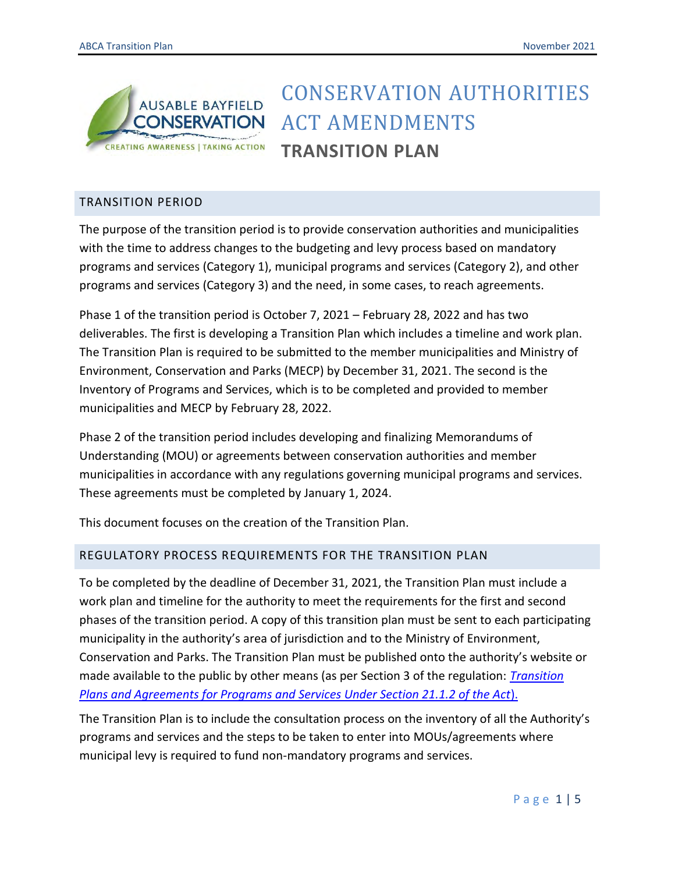

# CONSERVATION AUTHORITIES ACT AMENDMENTS **TRANSITION PLAN**

## TRANSITION PERIOD

The purpose of the transition period is to provide conservation authorities and municipalities with the time to address changes to the budgeting and levy process based on mandatory programs and services (Category 1), municipal programs and services (Category 2), and other programs and services (Category 3) and the need, in some cases, to reach agreements.

Phase 1 of the transition period is October 7, 2021 – February 28, 2022 and has two deliverables. The first is developing a Transition Plan which includes a timeline and work plan. The Transition Plan is required to be submitted to the member municipalities and Ministry of Environment, Conservation and Parks (MECP) by December 31, 2021. The second is the Inventory of Programs and Services, which is to be completed and provided to member municipalities and MECP by February 28, 2022.

Phase 2 of the transition period includes developing and finalizing Memorandums of Understanding (MOU) or agreements between conservation authorities and member municipalities in accordance with any regulations governing municipal programs and services. These agreements must be completed by January 1, 2024.

This document focuses on the creation of the Transition Plan.

### REGULATORY PROCESS REQUIREMENTS FOR THE TRANSITION PLAN

To be completed by the deadline of December 31, 2021, the Transition Plan must include a work plan and timeline for the authority to meet the requirements for the first and second phases of the transition period. A copy of this transition plan must be sent to each participating municipality in the authority's area of jurisdiction and to the Ministry of Environment, Conservation and Parks. The Transition Plan must be published onto the authority's website or made available to the public by other means (as per Section 3 of the regulation: *[Transition](https://www.ontario.ca/laws/regulation/r21687) [Plans and Agreements for Programs and Services Under Section 21.1.2 of the Act](https://www.ontario.ca/laws/regulation/r21687)*).

The Transition Plan is to include the consultation process on the inventory of all the Authority's programs and services and the steps to be taken to enter into MOUs/agreements where municipal levy is required to fund non-mandatory programs and services.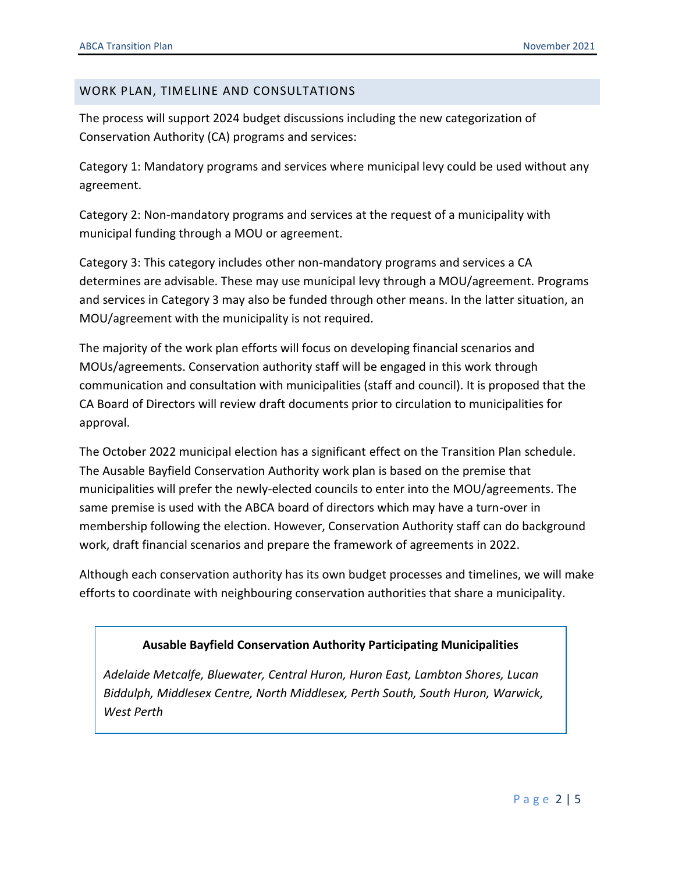#### WORK PLAN, TIMELINE AND CONSULTATIONS

The process will support 2024 budget discussions including the new categorization of Conservation Authority (CA) programs and services:

Category 1: Mandatory programs and services where municipal levy could be used without any agreement.

Category 2: Non-mandatory programs and services at the request of a municipality with municipal funding through a MOU or agreement.

Category 3: This category includes other non-mandatory programs and services a CA determines are advisable. These may use municipal levy through a MOU/agreement. Programs and services in Category 3 may also be funded through other means. In the latter situation, an MOU/agreement with the municipality is not required.

The majority of the work plan efforts will focus on developing financial scenarios and MOUs/agreements. Conservation authority staff will be engaged in this work through communication and consultation with municipalities (staff and council). It is proposed that the CA Board of Directors will review draft documents prior to circulation to municipalities for approval.

The October 2022 municipal election has a significant effect on the Transition Plan schedule. The Ausable Bayfield Conservation Authority work plan is based on the premise that municipalities will prefer the newly-elected councils to enter into the MOU/agreements. The same premise is used with the ABCA board of directors which may have a turn-over in membership following the election. However, Conservation Authority staff can do background work, draft financial scenarios and prepare the framework of agreements in 2022.

Although each conservation authority has its own budget processes and timelines, we will make efforts to coordinate with neighbouring conservation authorities that share a municipality.

#### **Ausable Bayfield Conservation Authority Participating Municipalities**

*Adelaide Metcalfe, Bluewater, Central Huron, Huron East, Lambton Shores, Lucan Biddulph, Middlesex Centre, North Middlesex, Perth South, South Huron, Warwick, West Perth*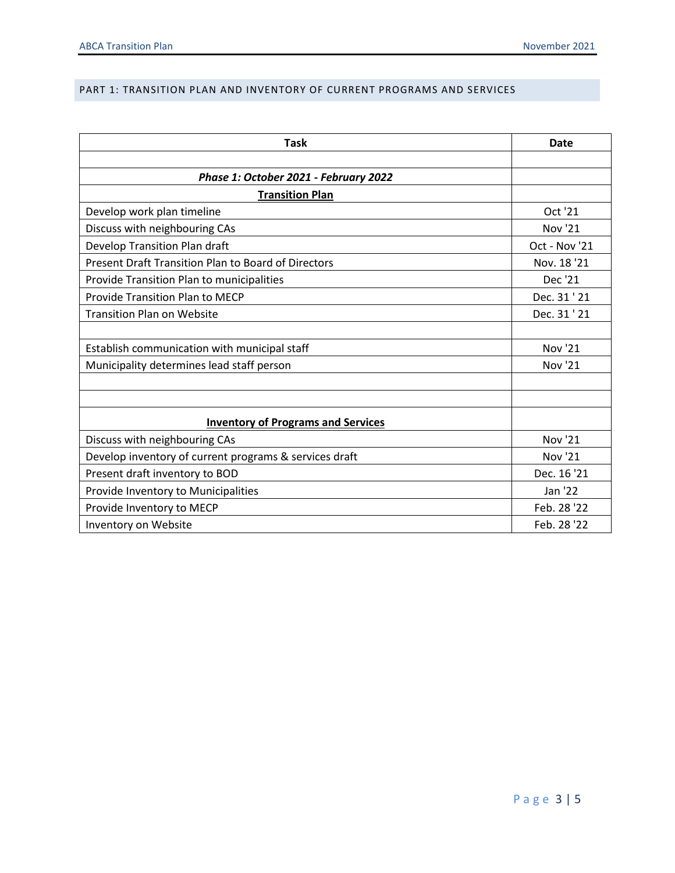#### PART 1: TRANSITION PLAN AND INVENTORY OF CURRENT PROGRAMS AND SERVICES

| <b>Task</b>                                            | Date           |
|--------------------------------------------------------|----------------|
|                                                        |                |
| Phase 1: October 2021 - February 2022                  |                |
| <b>Transition Plan</b>                                 |                |
| Develop work plan timeline                             | Oct '21        |
| Discuss with neighbouring CAs                          | Nov '21        |
| Develop Transition Plan draft                          | Oct - Nov '21  |
| Present Draft Transition Plan to Board of Directors    | Nov. 18'21     |
| <b>Provide Transition Plan to municipalities</b>       | Dec '21        |
| <b>Provide Transition Plan to MECP</b>                 | Dec. 31 ' 21   |
| <b>Transition Plan on Website</b>                      | Dec. 31 ' 21   |
|                                                        |                |
| Establish communication with municipal staff           | <b>Nov '21</b> |
| Municipality determines lead staff person              | <b>Nov '21</b> |
|                                                        |                |
|                                                        |                |
| <b>Inventory of Programs and Services</b>              |                |
| Discuss with neighbouring CAs                          | Nov '21        |
| Develop inventory of current programs & services draft | Nov '21        |
| Present draft inventory to BOD                         | Dec. 16 '21    |
| Provide Inventory to Municipalities                    | Jan '22        |
| Provide Inventory to MECP                              | Feb. 28 '22    |
| Inventory on Website                                   | Feb. 28 '22    |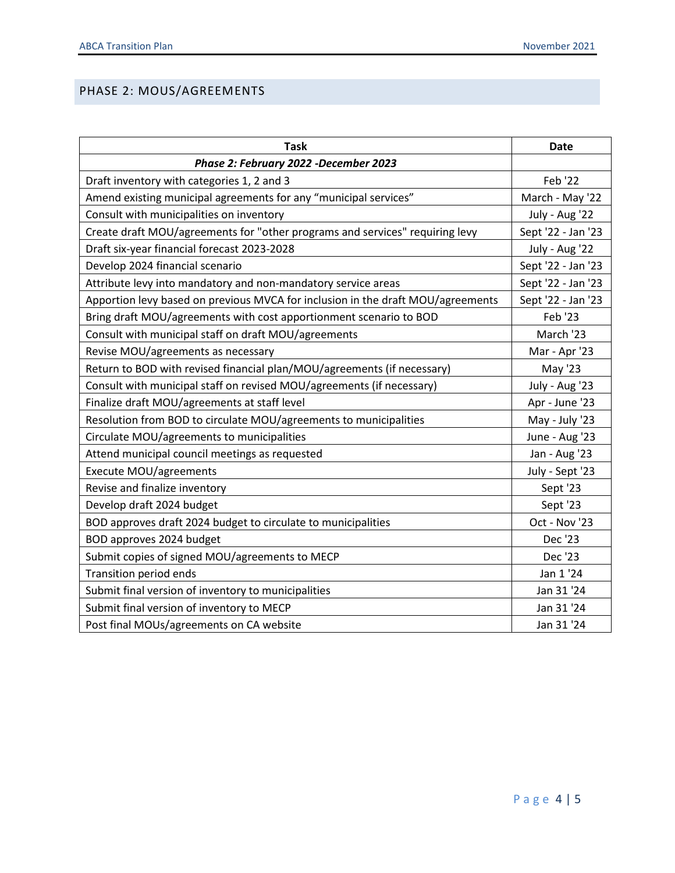## PHASE 2: MOUS/AGREEMENTS

| <b>Task</b>                                                                     | <b>Date</b>        |
|---------------------------------------------------------------------------------|--------------------|
| Phase 2: February 2022 -December 2023                                           |                    |
| Draft inventory with categories 1, 2 and 3                                      | Feb '22            |
| Amend existing municipal agreements for any "municipal services"                | March - May '22    |
| Consult with municipalities on inventory                                        | July - Aug '22     |
| Create draft MOU/agreements for "other programs and services" requiring levy    | Sept '22 - Jan '23 |
| Draft six-year financial forecast 2023-2028                                     | July - Aug '22     |
| Develop 2024 financial scenario                                                 | Sept '22 - Jan '23 |
| Attribute levy into mandatory and non-mandatory service areas                   | Sept '22 - Jan '23 |
| Apportion levy based on previous MVCA for inclusion in the draft MOU/agreements | Sept '22 - Jan '23 |
| Bring draft MOU/agreements with cost apportionment scenario to BOD              | Feb '23            |
| Consult with municipal staff on draft MOU/agreements                            | March '23          |
| Revise MOU/agreements as necessary                                              | Mar - Apr '23      |
| Return to BOD with revised financial plan/MOU/agreements (if necessary)         | May '23            |
| Consult with municipal staff on revised MOU/agreements (if necessary)           | July - Aug '23     |
| Finalize draft MOU/agreements at staff level                                    | Apr - June '23     |
| Resolution from BOD to circulate MOU/agreements to municipalities               | May - July '23     |
| Circulate MOU/agreements to municipalities                                      | June - Aug '23     |
| Attend municipal council meetings as requested                                  | Jan - Aug '23      |
| Execute MOU/agreements                                                          | July - Sept '23    |
| Revise and finalize inventory                                                   | Sept '23           |
| Develop draft 2024 budget                                                       | Sept '23           |
| BOD approves draft 2024 budget to circulate to municipalities                   | Oct - Nov '23      |
| BOD approves 2024 budget                                                        | Dec '23            |
| Submit copies of signed MOU/agreements to MECP                                  | Dec '23            |
| Transition period ends                                                          | Jan 1 '24          |
| Submit final version of inventory to municipalities                             | Jan 31 '24         |
| Submit final version of inventory to MECP                                       | Jan 31 '24         |
| Post final MOUs/agreements on CA website                                        | Jan 31 '24         |